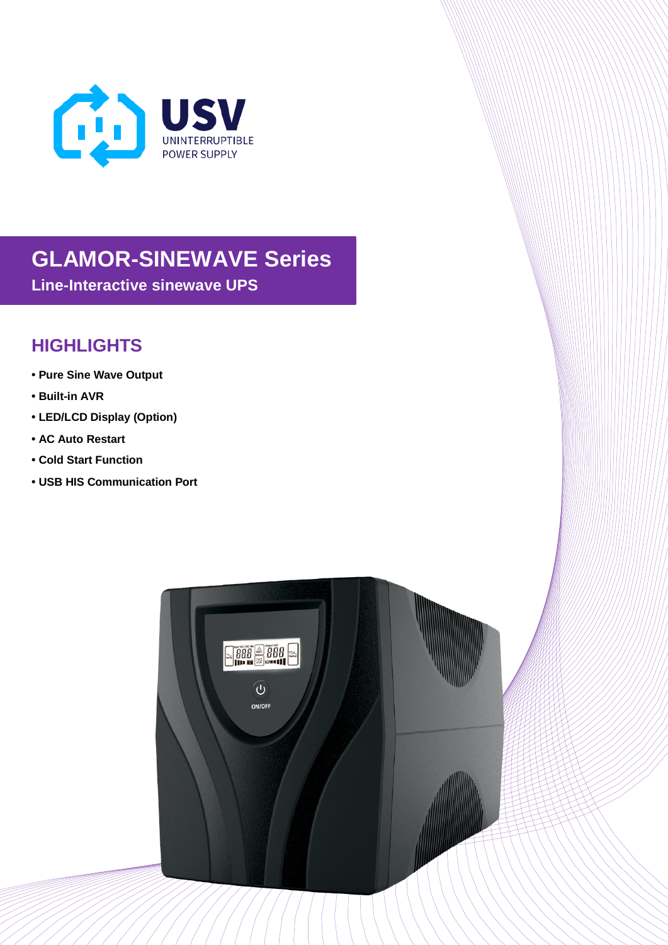

## **GLAMOR-SINEWAVE Series**

**Line-Interactive sinewave UPS**

## **HIGHLIGHTS**

- **• Pure Sine Wave Output**
- **• Built-in AVR**
- **• LED/LCD Display (Option)**
- **• AC Auto Restart**
- **• Cold Start Function**
- **• USB HIS Communication Port**